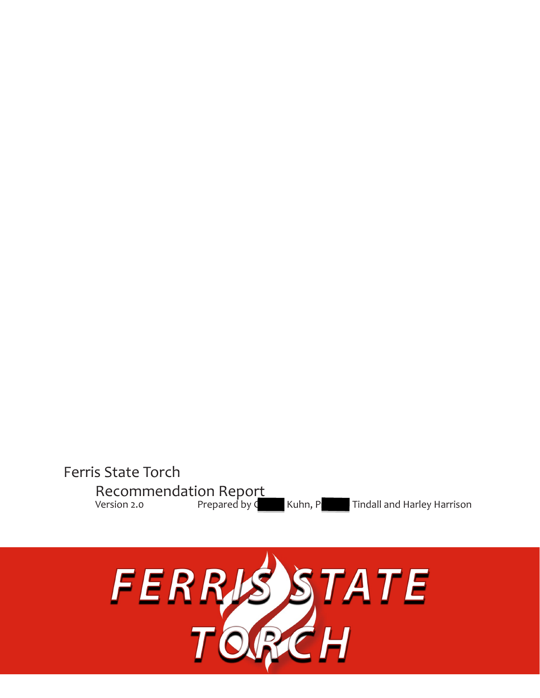# Ferris State Torch Recommendation Report Version 2.0 **Prepared by Charlie Kuhn, Preston Tindall** and Harley Harrison Reston Prepared by C

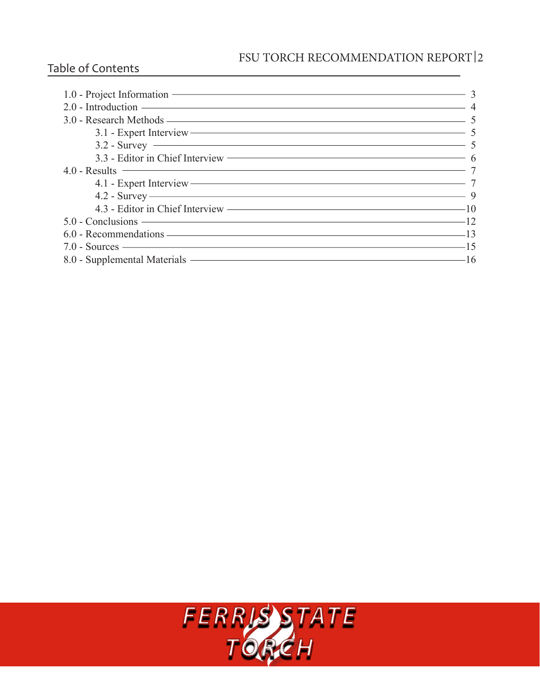# FSU TORCH RECOMMENDATION REPORT 2

# Table of Contents

| 1.0 - Project Information 3                            |  |
|--------------------------------------------------------|--|
| $2.0$ - Introduction $\overline{\phantom{a}}$ 4        |  |
|                                                        |  |
| 3.1 - Expert Interview — 5                             |  |
| $3.2 - Survey$ 5                                       |  |
|                                                        |  |
|                                                        |  |
| 4.1 - Expert Interview — 7                             |  |
| $4.2 - Survey \longrightarrow 9$                       |  |
| 4.3 - Editor in Chief Interview ————————————————————10 |  |
| $5.0 - Conclusions$ $12$                               |  |
| 6.0 - Recommendations — 13                             |  |
| $7.0 - Sources$ $-15$                                  |  |
| 8.0 - Supplemental Materials — 16                      |  |

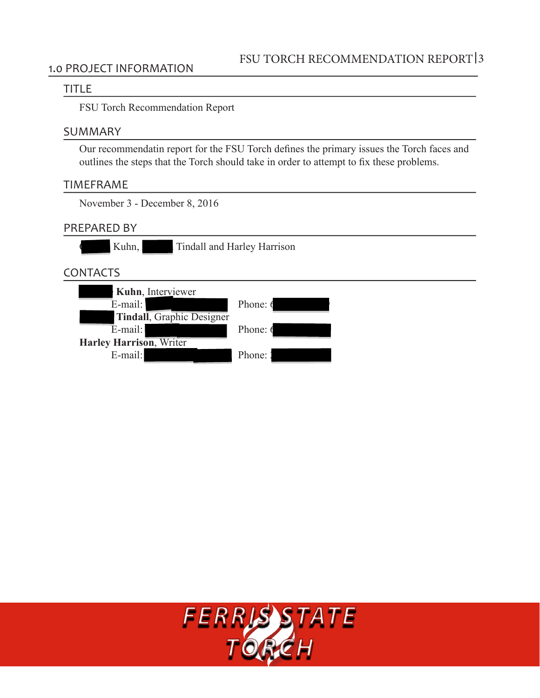### 1.0 PROJECT INFORMATION

#### TITLE

FSU Torch Recommendation Report

### SUMMARY

Our recommendatin report for the FSU Torch defines the primary issues the Torch faces and outlines the steps that the Torch should take in order to attempt to fix these problems.

### TIMEFRAME

November 3 - December 8, 2016

### PREPARED BY

Kuhn, Tindall and Harley Harrison

# CONTACTS

| Kuhn, Interviewer                 |                 |
|-----------------------------------|-----------------|
| E-mail:                           | Phone: 6        |
| <b>Tindall</b> , Graphic Designer |                 |
| E-mail:                           | Phone: $\theta$ |
| <b>Harley Harrison, Writer</b>    |                 |
| E-mail:                           | Phone:          |

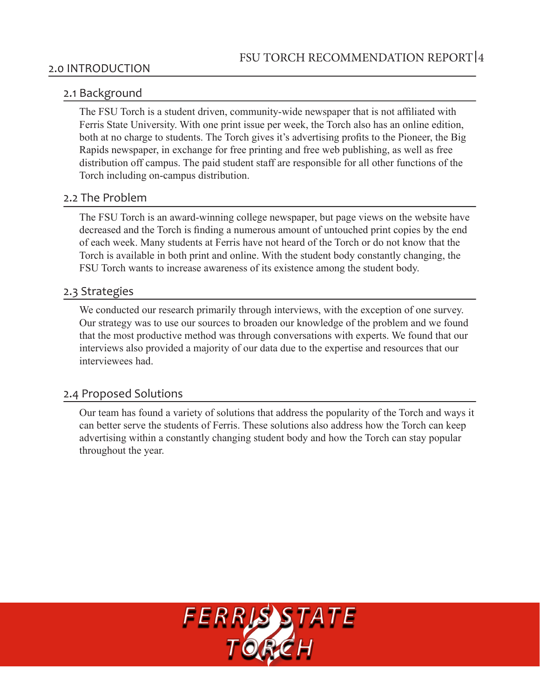#### 2.0 INTRODUCTION

### 2.1 Background

The FSU Torch is a student driven, community-wide newspaper that is not affiliated with Ferris State University. With one print issue per week, the Torch also has an online edition, both at no charge to students. The Torch gives it's advertising profits to the Pioneer, the Big Rapids newspaper, in exchange for free printing and free web publishing, as well as free distribution off campus. The paid student staff are responsible for all other functions of the Torch including on-campus distribution.

### 2.2 The Problem

The FSU Torch is an award-winning college newspaper, but page views on the website have decreased and the Torch is finding a numerous amount of untouched print copies by the end of each week. Many students at Ferris have not heard of the Torch or do not know that the Torch is available in both print and online. With the student body constantly changing, the FSU Torch wants to increase awareness of its existence among the student body.

### 2.3 Strategies

We conducted our research primarily through interviews, with the exception of one survey. Our strategy was to use our sources to broaden our knowledge of the problem and we found that the most productive method was through conversations with experts. We found that our interviews also provided a majority of our data due to the expertise and resources that our interviewees had

### 2.4 Proposed Solutions

Our team has found a variety of solutions that address the popularity of the Torch and ways it can better serve the students of Ferris. These solutions also address how the Torch can keep advertising within a constantly changing student body and how the Torch can stay popular throughout the year.

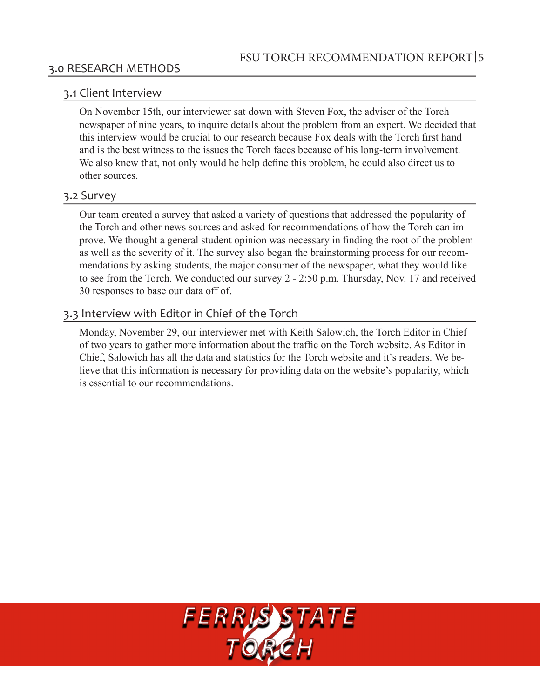# 3.0 RESEARCH METHODS

### 3.1 Client Interview

On November 15th, our interviewer sat down with Steven Fox, the adviser of the Torch newspaper of nine years, to inquire details about the problem from an expert. We decided that this interview would be crucial to our research because Fox deals with the Torch first hand and is the best witness to the issues the Torch faces because of his long-term involvement. We also knew that, not only would he help define this problem, he could also direct us to other sources.

### 3.2 Survey

Our team created a survey that asked a variety of questions that addressed the popularity of the Torch and other news sources and asked for recommendations of how the Torch can improve. We thought a general student opinion was necessary in finding the root of the problem as well as the severity of it. The survey also began the brainstorming process for our recommendations by asking students, the major consumer of the newspaper, what they would like to see from the Torch. We conducted our survey  $2 - 2:50$  p.m. Thursday, Nov. 17 and received 30 responses to base our data off of.

# 3.3 Interview with Editor in Chief of the Torch

Monday, November 29, our interviewer met with Keith Salowich, the Torch Editor in Chief of two years to gather more information about the traffic on the Torch website. As Editor in Chief, Salowich has all the data and statistics for the Torch website and it's readers. We believe that this information is necessary for providing data on the website's popularity, which is essential to our recommendations.

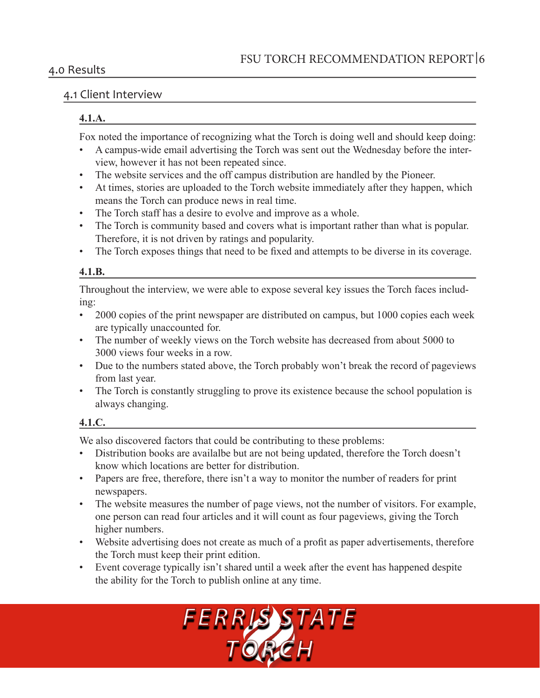### 4.0 Results

# 4.1 Client Interview

### **4.1.A.**

Fox noted the importance of recognizing what the Torch is doing well and should keep doing:

- A campus-wide email advertising the Torch was sent out the Wednesday before the interview, however it has not been repeated since.
- The website services and the off campus distribution are handled by the Pioneer.
- At times, stories are uploaded to the Torch website immediately after they happen, which means the Torch can produce news in real time.
- The Torch staff has a desire to evolve and improve as a whole.
- The Torch is community based and covers what is important rather than what is popular. Therefore, it is not driven by ratings and popularity.
- The Torch exposes things that need to be fixed and attempts to be diverse in its coverage.

# **4.1.B.**

Throughout the interview, we were able to expose several key issues the Torch faces includ $ing:$ 

- 2000 copies of the print newspaper are distributed on campus, but 1000 copies each week are typically unaccounted for.
- The number of weekly views on the Torch website has decreased from about 5000 to 3000 views four weeks in a row.
- Due to the numbers stated above, the Torch probably won't break the record of pageviews from last year.
- The Torch is constantly struggling to prove its existence because the school population is always changing.

# **4.1.C.**

We also discovered factors that could be contributing to these problems:

- Distribution books are availalbe but are not being updated, therefore the Torch doesn't know which locations are better for distribution.
- Papers are free, therefore, there isn't a way to monitor the number of readers for print newspapers.
- The website measures the number of page views, not the number of visitors. For example, one person can read four articles and it will count as four pageviews, giving the Torch higher numbers.
- Website advertising does not create as much of a profit as paper advertisements, therefore the Torch must keep their print edition.
- Event coverage typically isn't shared until a week after the event has happened despite the ability for the Torch to publish online at any time.

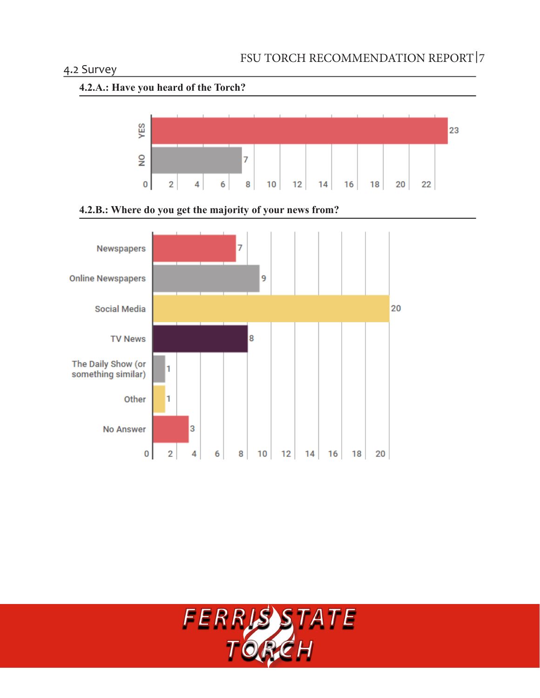# 4.2 Survey









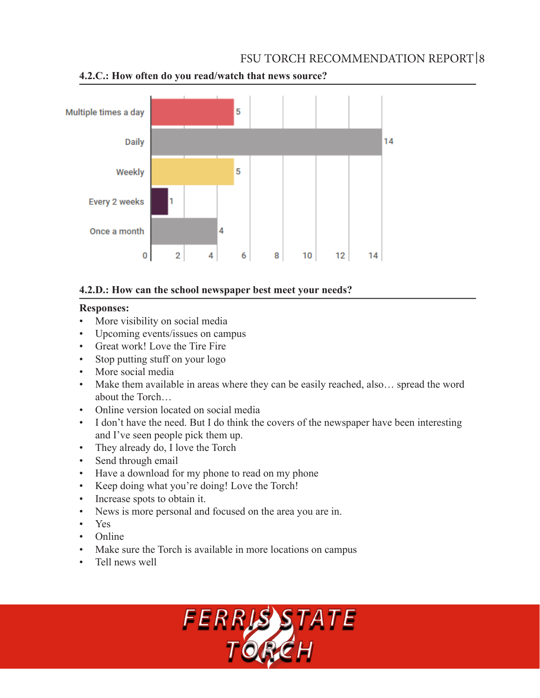# FSU TORCH RECOMMENDATION REPORT 8



**4.2.C.: How often do you read/watch that news source?**

### **4.2.D.: How can the school newspaper best meet your needs?**

### **Responses:**

- More visibility on social media
- Upcoming events/issues on campus
- Great work! Love the Tire Fire
- Stop putting stuff on your logo
- More social media
- Make them available in areas where they can be easily reached, also... spread the word about the Torch...
- Online version located on social media
- I don't have the need. But I do think the covers of the newspaper have been interesting and I've seen people pick them up.
- They already do, I love the Torch
- Send through email
- Have a download for my phone to read on my phone
- Keep doing what you're doing! Love the Torch!
- Increase spots to obtain it.
- News is more personal and focused on the area you are in.
- Yes
- Online
- Make sure the Torch is available in more locations on campus
- Tell news well

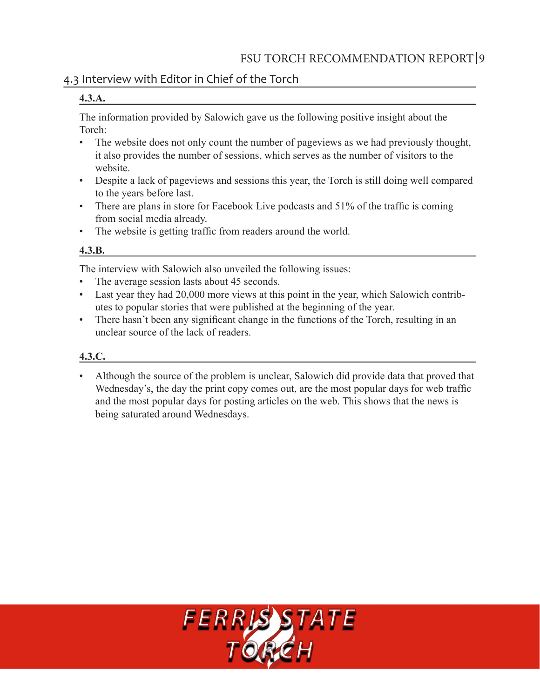# 4.3 Interview with Editor in Chief of the Torch

#### **4.3.A.**

The information provided by Salowich gave us the following positive insight about the Torch:

- The website does not only count the number of pageviews as we had previously thought, it also provides the number of sessions, which serves as the number of visitors to the website
- Despite a lack of pageviews and sessions this year, the Torch is still doing well compared to the years before last.
- There are plans in store for Facebook Live podcasts and  $51\%$  of the traffic is coming from social media already.
- The website is getting traffic from readers around the world.

### **4.3.B.**

The interview with Salowich also unveiled the following issues:

- The average session lasts about 45 seconds.
- Last year they had 20,000 more views at this point in the year, which Salowich contributes to popular stories that were published at the beginning of the year.
- There hasn't been any significant change in the functions of the Torch, resulting in an unclear source of the lack of readers.

# **4.3.C.**

• Although the source of the problem is unclear, Salowich did provide data that proved that Wednesday's, the day the print copy comes out, are the most popular days for web traffic and the most popular days for posting articles on the web. This shows that the news is being saturated around Wednesdays.

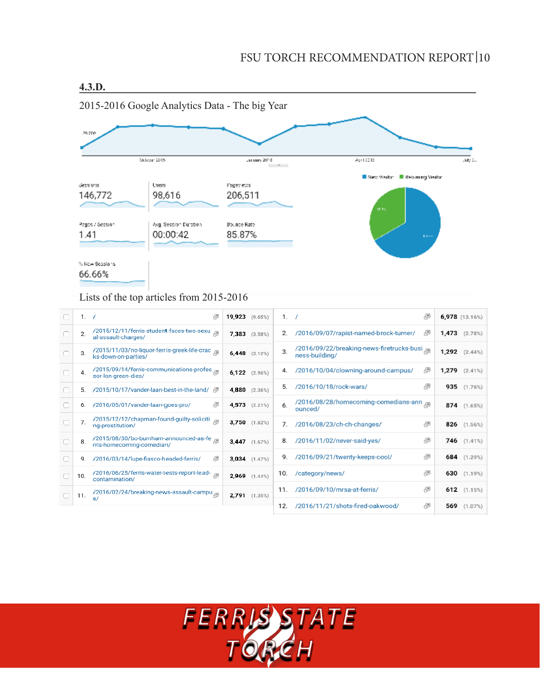# FSU TORCH RECOMMENDATION REPORT 10



### Lists of the top articles from 2015-2016

| 1.7            | 吗                                                                                 | $19,923$ $(9.65%)$ | 1.  | - 7                                                         | 吗 |       | 6,978 (13.16%)     |
|----------------|-----------------------------------------------------------------------------------|--------------------|-----|-------------------------------------------------------------|---|-------|--------------------|
| $\overline{2}$ | /2015/12/11/ferris-student-faces-two-sexu<br>al-assault-charges/                  | $7.383$ $(3.58%)$  | 2.  | /2016/09/07/rapist-named-brock-turner/                      | 吗 |       | $1,473$ $(2.78%)$  |
| 3.             | /2015/11/03/no-liquor-ferris-greek-life-crac <sub>aa</sub><br>ks-down-on-parties/ | $6,448$ $(3.12\%)$ | 3.  | /2016/09/22/breaking-news-firetrucks-busi<br>ness-building/ |   |       | $1,292$ $(2.44\%)$ |
| 4.             | /2015/09/14/ferris-communications-profes <sub>, an</sub><br>sor-lon-green-dies/   | 6,122 $(2.96\%)$   |     | /2016/10/04/clowning-around-campus/                         | 吗 | 1,279 | $(2.41\%)$         |
| 5.             | /2015/10/17/vander-laan-best-in-the-land/<br>년                                    | $4,880$ $(2.36\%)$ | 5.  | /2016/10/18/rock-wars/                                      | 吗 | 935   | (1.76%)            |
| 6.             | /2016/05/01/vander-laan-goes-pro/                                                 | $4,573$ $(2.21\%)$ | 6.  | /2016/08/28/homecoming-comedians-ann<br>ounced/             |   |       | 874 $(1.65%)$      |
| 7.             | /2015/12/12/chapman-found-guilty-soliciti a<br>ng-prostitution/                   | $3,750$ $(1.82%)$  | 7.  | /2016/08/23/ch-ch-changes/                                  | 冎 |       | 826 $(1.56\%)$     |
| 8.             | /2015/08/30/bo-burnham-announced-as-fe<br>rris-homecoming-comedian/               | $3.447$ $(1.67%)$  | 8.  | /2016/11/02/never-said-yes/                                 | 凸 |       | 746 (1.41%)        |
| 9.             | /2016/03/14/lupe-fiasco-headed-ferris/<br>뛰                                       | $3,034$ $(1.47%)$  | 9.  | /2016/09/21/twenty-keeps-cool/                              | 吗 |       | 684 $(1.29%)$      |
| 10.            | /2016/06/25/ferris-water-tests-report-lead-<br>contamination/                     | $2.969$ $(1.44\%)$ | 10. | /category/news/                                             | 吗 |       | 630 $(1.19%)$      |
| 11.            | /2016/02/24/breaking-news-assault-campu <sub>ed</sub>                             | $2,791$ $(1.35%)$  | 11. | /2016/09/10/mrsa-at-ferris/                                 | 吗 |       | $612$ $(1.15%)$    |
|                | s/                                                                                |                    | 12. | /2016/11/21/shots-fired-oakwood/                            | 凸 | 569   | (1.07%)            |

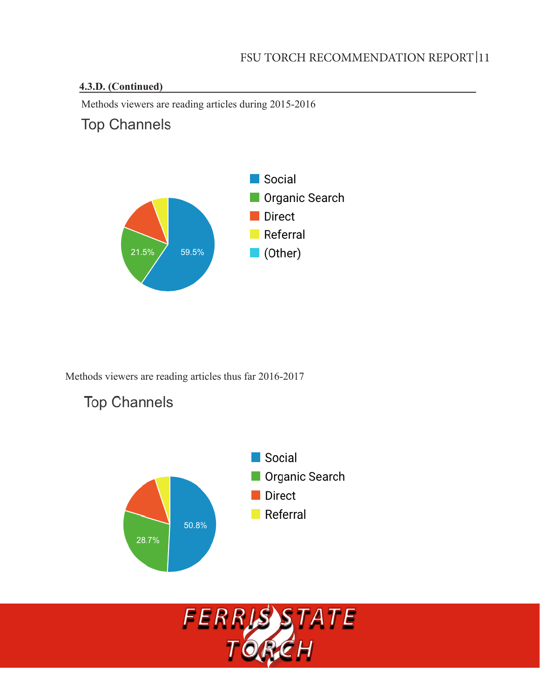# **4.3.D. (Continued)**

Methods viewers are reading articles during 2015-2016

# **Top Channels**

**Top Channels** 



Methods viewers are reading articles thus far 2016-2017



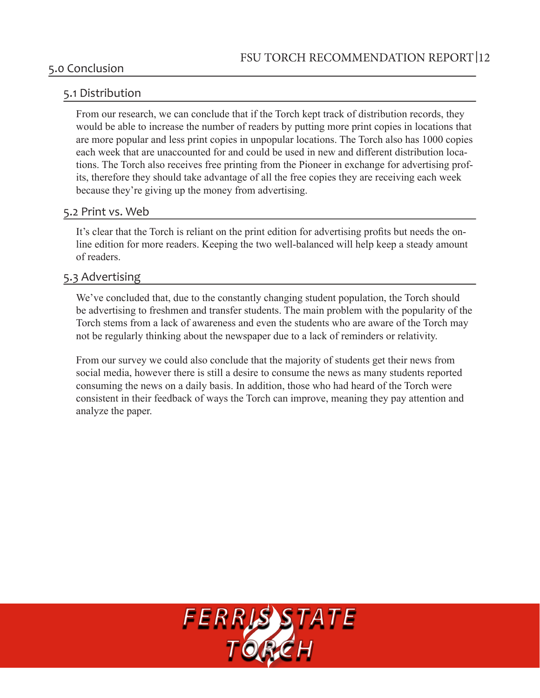## 5.0 Conclusion

## 5.1 Distribution

From our research, we can conclude that if the Torch kept track of distribution records, they would be able to increase the number of readers by putting more print copies in locations that are more popular and less print copies in unpopular locations. The Torch also has 1000 copies each week that are unaccounted for and could be used in new and different distribution locations. The Torch also receives free printing from the Pioneer in exchange for advertising profits, therefore they should take advantage of all the free copies they are receiving each week because they're giving up the money from advertising.

#### 5.2 Print vs. Web

It's clear that the Torch is reliant on the print edition for advertising profits but needs the online edition for more readers. Keeping the two well-balanced will help keep a steady amount of readers.

## 5.3 Advertising

We've concluded that, due to the constantly changing student population, the Torch should be advertising to freshmen and transfer students. The main problem with the popularity of the Torch stems from a lack of awareness and even the students who are aware of the Torch may not be regularly thinking about the newspaper due to a lack of reminders or relativity.

From our survey we could also conclude that the majority of students get their news from social media, however there is still a desire to consume the news as many students reported consuming the news on a daily basis. In addition, those who had heard of the Torch were consistent in their feedback of ways the Torch can improve, meaning they pay attention and analyze the paper.

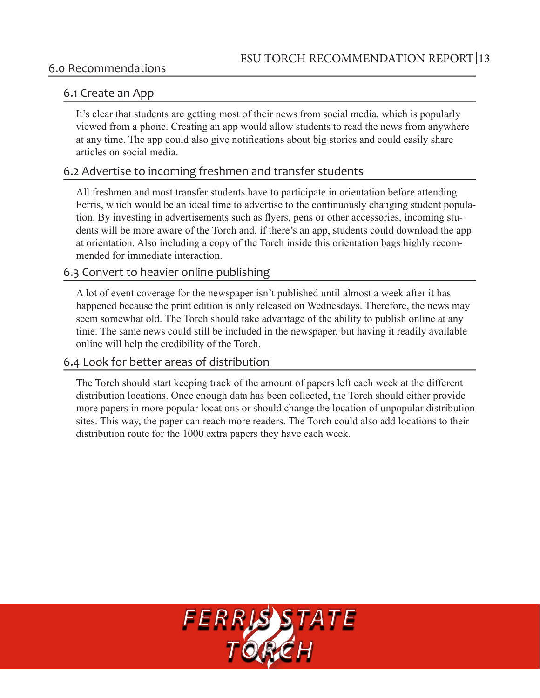### 6.0 Recommendations

### 6.1 Create an App

It's clear that students are getting most of their news from social media, which is popularly viewed from a phone. Creating an app would allow students to read the news from anywhere at any time. The app could also give notifications about big stories and could easily share articles on social media

### 6.2 Advertise to incoming freshmen and transfer students

All freshmen and most transfer students have to participate in orientation before attending Ferris, which would be an ideal time to advertise to the continuously changing student population. By investing in advertisements such as flyers, pens or other accessories, incoming students will be more aware of the Torch and, if there's an app, students could download the app at orientation. Also including a copy of the Torch inside this orientation bags highly recommended for immediate interaction.

# 6.3 Convert to heavier online publishing

A lot of event coverage for the newspaper isn't published until almost a week after it has happened because the print edition is only released on Wednesdays. Therefore, the news may seem somewhat old. The Torch should take advantage of the ability to publish online at any time. The same news could still be included in the newspaper, but having it readily available online will help the credibility of the Torch.

### 6.4 Look for better areas of distribution

The Torch should start keeping track of the amount of papers left each week at the different distribution locations. Once enough data has been collected, the Torch should either provide more papers in more popular locations or should change the location of unpopular distribution sites. This way, the paper can reach more readers. The Torch could also add locations to their distribution route for the 1000 extra papers they have each week.

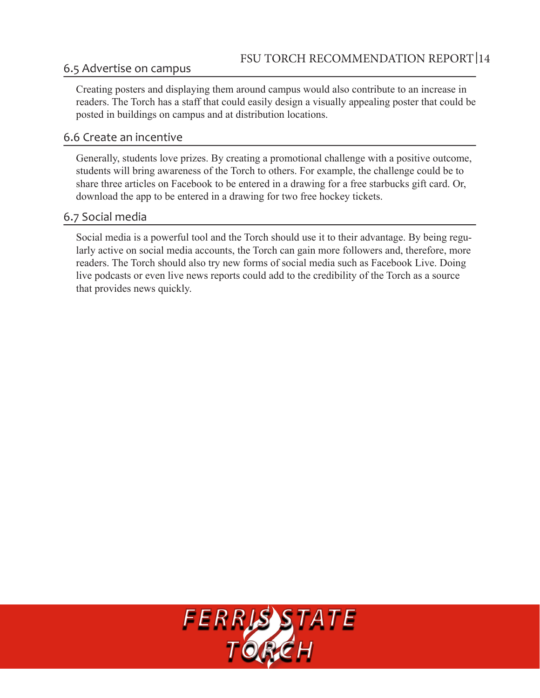# 6.5 Advertise on campus

Creating posters and displaying them around campus would also contribute to an increase in readers. The Torch has a staff that could easily design a visually appealing poster that could be posted in buildings on campus and at distribution locations.

# 6.6 Create an incentive

Generally, students love prizes. By creating a promotional challenge with a positive outcome, students will bring awareness of the Torch to others. For example, the challenge could be to share three articles on Facebook to be entered in a drawing for a free starbucks gift card. Or, download the app to be entered in a drawing for two free hockey tickets.

# 6.7 Social media

Social media is a powerful tool and the Torch should use it to their advantage. By being regularly active on social media accounts, the Torch can gain more followers and, therefore, more readers. The Torch should also try new forms of social media such as Facebook Live. Doing live podcasts or even live news reports could add to the credibility of the Torch as a source that provides news quickly.

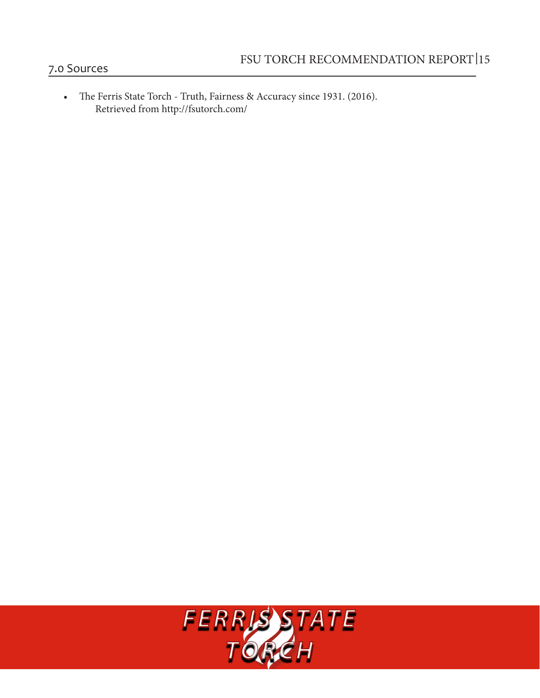- 7.0 Sources
	- The Ferris State Torch Truth, Fairness & Accuracy since 1931. (2016). Retrieved from http://fsutorch.com/